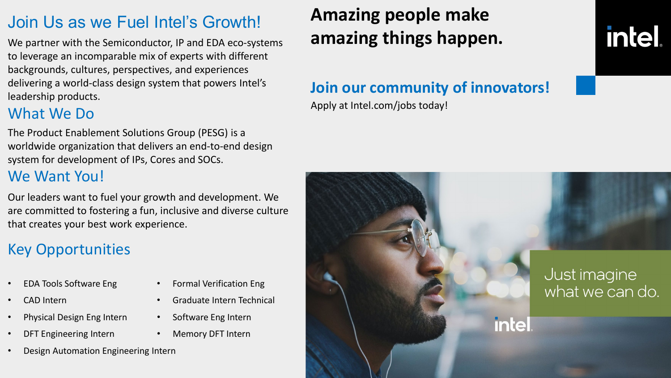## Join Us as we Fuel Intel's Growth!

We partner with the Semiconductor, IP and EDA eco-systems to leverage an incomparable mix of experts with different backgrounds, cultures, perspectives, and experiences delivering a world-class design system that powers Intel's leadership products.

## What We Do

The Product Enablement Solutions Group (PESG) is a worldwide organization that delivers an end-to-end design system for development of IPs, Cores and SOCs.

### We Want You!

Our leaders want to fuel your growth and development. We are committed to fostering a fun, inclusive and diverse culture that creates your best work experience.

## Key Opportunities

- EDA Tools Software Eng Formal Verification Eng
- CAD Intern Graduate Intern Technical
- Physical Design Eng Intern Software Eng Intern
- DFT Engineering Intern Memory DFT Intern
- Design Automation Engineering Intern

# **Amazing people make amazing things happen.**

#### **Join our community of innovators!**

Apply at Intel.com/jobs today!

# **intel**